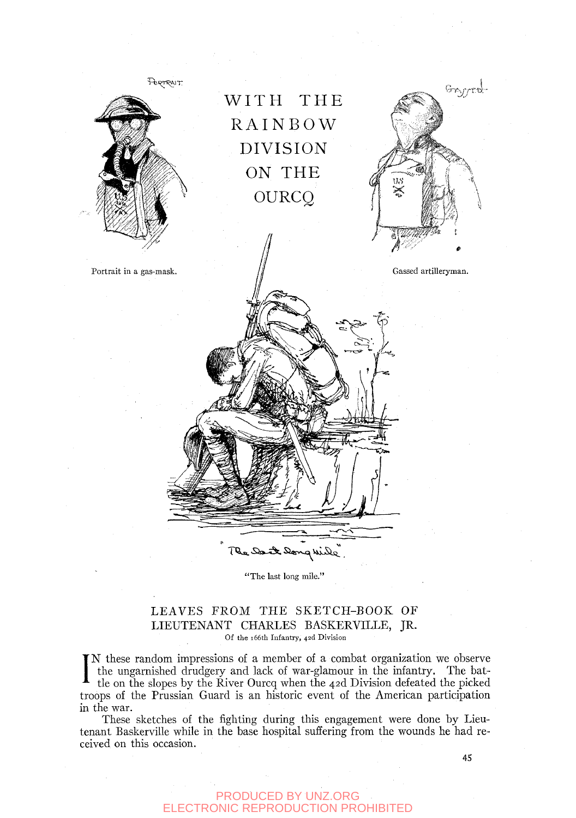

'The last long mile."

### LEAVES FROM THE SKETCH-BOOK OF LIEUTENANT CHARLES BASKERVILLE, JR. Of the i66th Infantry, 42d Division

I the ungarnished drudgery and lack of war-glamour in the infantry. The bat-<br>tle on the slopes by the River Ourcq when the 42d Division defeated the picked N these random impressions of a member of a combat organization we observe tle on the slopes by the River Ourcq when the 42d Division defeated the picked troops of the Prussian Guard is an historic event of the American participation in the war.

These sketches of the fighting during this engagement were done by Lieutenant Baskerville while in the base hospital suffering from the wounds he had received on this occasion.

45

### PRODUCED BY UNZ.ORG ELECTRONIC REPRODUCTION PROHIBITED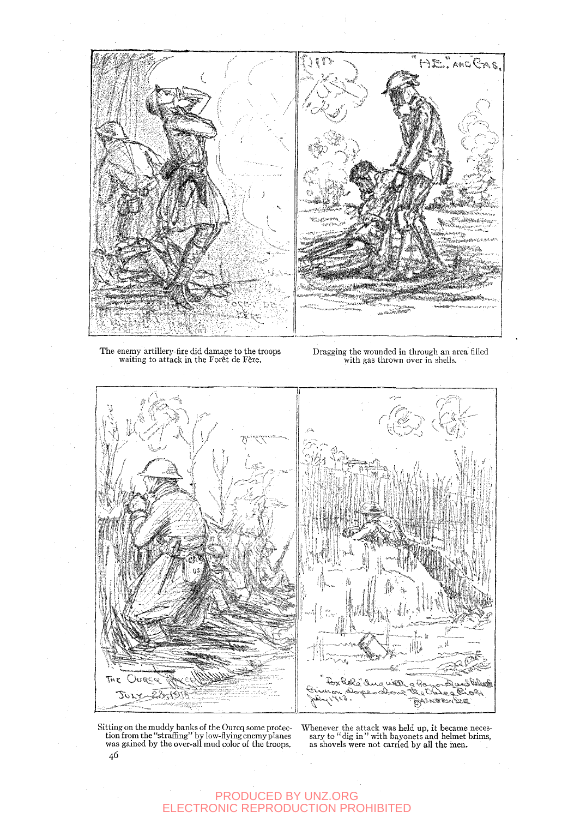

The enemy artillery-fire did damage to the troops<br>waiting to attack in the Forêt de Fère.

Dragging the wounded in through an area filled<br>with gas thrown over in shells.



Sitting on the muddy banks of the Ourcq some protection from the "straffing" by low-flying enemy planes was gained by the over-all mud color of the troops. 46

Whenever the attack was held up, it became necessary to "dig in" with bayonets and helmet brims, as shovels were not carried by all the men.

# PRODUCED BY UNZ.ORG<br>ELECTRONIC REPRODUCTION PROHIBITED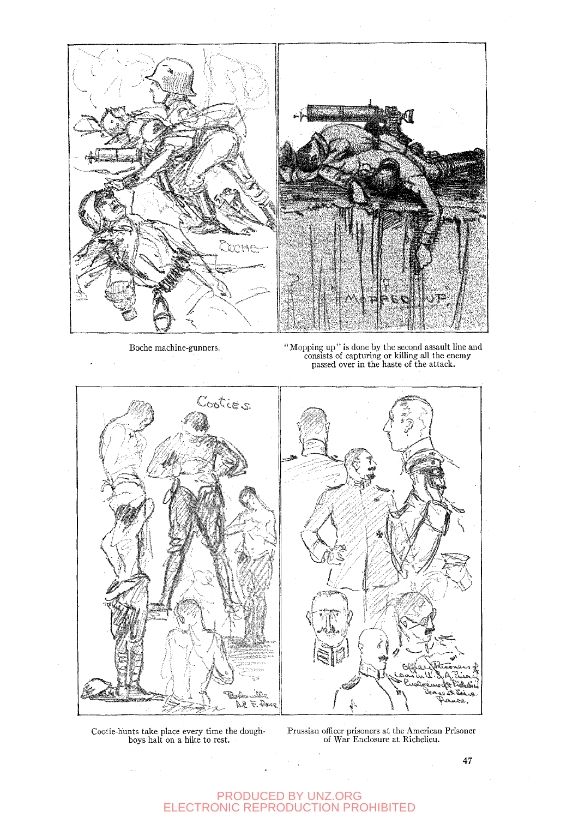

Boche machine-gunners. " " Mopping up" is done by the second assault line and<br>consists of capturing or killing all the enemy<br>passed over in the haste of the attack.



Coolie-hunts take place every time the dough-boys halt on a hike to rest.

Prussian officer prisoners at the American Prisoner of War Enclosure at Richelieu.

#### PRODUCED BY UNZ.ORG ELECTRONIC REPRODUCTION PROHIBITED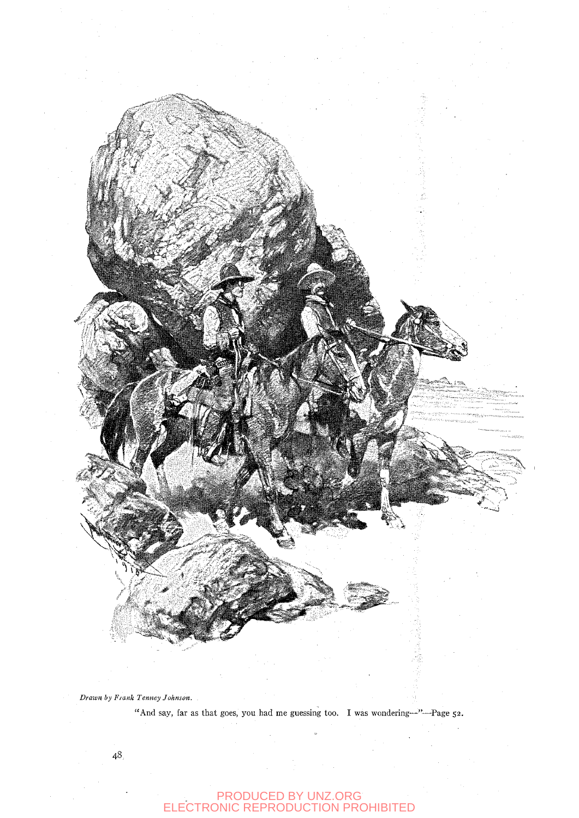

"And say, far as that goes, you had me guessing too. I was wondering-"-Page 52.

# PRODUCED BY UNZ.ORG<br>ELECTRONIC REPRODUCTION PROHIBITED